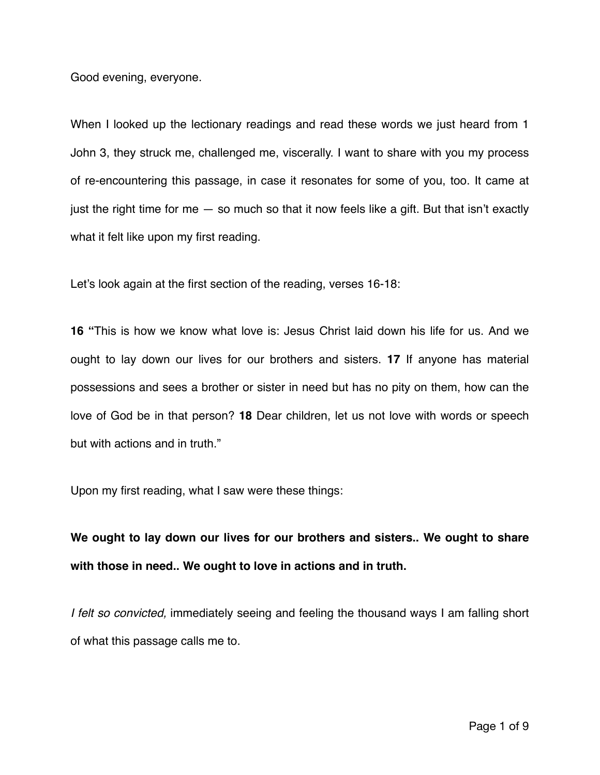Good evening, everyone.

When I looked up the lectionary readings and read these words we just heard from 1 John 3, they struck me, challenged me, viscerally. I want to share with you my process of re-encountering this passage, in case it resonates for some of you, too. It came at just the right time for me — so much so that it now feels like a gift. But that isn't exactly what it felt like upon my first reading.

Let's look again at the first section of the reading, verses 16-18:

**16 "**This is how we know what love is: Jesus Christ laid down his life for us. And we ought to lay down our lives for our brothers and sisters. **17** If anyone has material possessions and sees a brother or sister in need but has no pity on them, how can the love of God be in that person? **18** Dear children, let us not love with words or speech but with actions and in truth."

Upon my first reading, what I saw were these things:

**We ought to lay down our lives for our brothers and sisters.. We ought to share with those in need.. We ought to love in actions and in truth.** 

*I felt so convicted,* immediately seeing and feeling the thousand ways I am falling short of what this passage calls me to.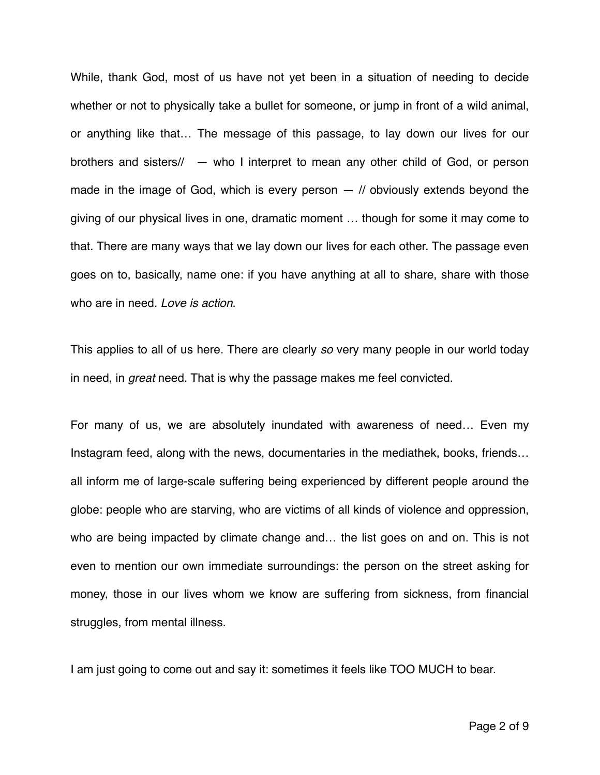While, thank God, most of us have not yet been in a situation of needing to decide whether or not to physically take a bullet for someone, or jump in front of a wild animal, or anything like that… The message of this passage, to lay down our lives for our brothers and sisters// — who I interpret to mean any other child of God, or person made in the image of God, which is every person  $-$  // obviously extends beyond the giving of our physical lives in one, dramatic moment … though for some it may come to that. There are many ways that we lay down our lives for each other. The passage even goes on to, basically, name one: if you have anything at all to share, share with those who are in need. *Love is action*.

This applies to all of us here. There are clearly *so* very many people in our world today in need, in *great* need. That is why the passage makes me feel convicted.

For many of us, we are absolutely inundated with awareness of need… Even my Instagram feed, along with the news, documentaries in the mediathek, books, friends… all inform me of large-scale suffering being experienced by different people around the globe: people who are starving, who are victims of all kinds of violence and oppression, who are being impacted by climate change and... the list goes on and on. This is not even to mention our own immediate surroundings: the person on the street asking for money, those in our lives whom we know are suffering from sickness, from financial struggles, from mental illness.

I am just going to come out and say it: sometimes it feels like TOO MUCH to bear.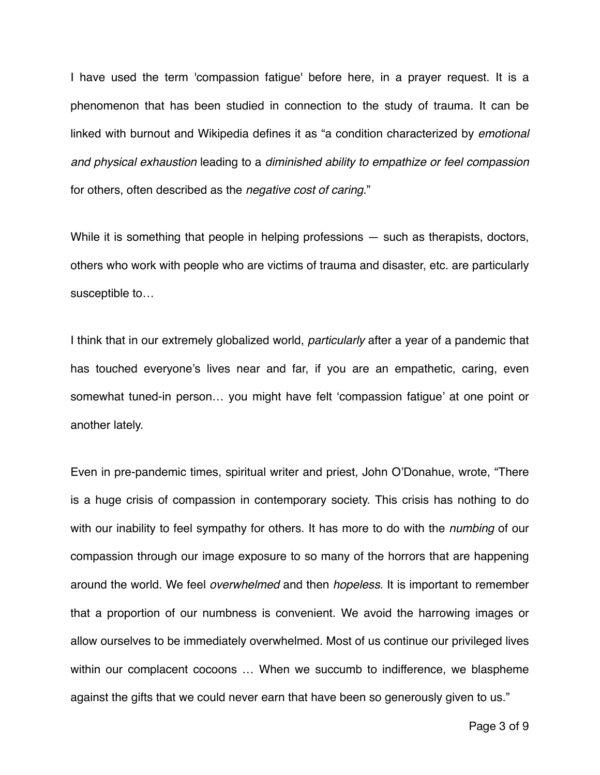I have used the term 'compassion fatigue' before here, in a prayer request. It is a phenomenon that has been studied in connection to the study of trauma. It can be linked with burnout and Wikipedia defines it as "a condition characterized by *emotional and physical exhaustion* leading to a *diminished ability to empathize or feel compassion* for others, often described as the *negative cost of caring*."

While it is something that people in helping professions – such as therapists, doctors, others who work with people who are victims of trauma and disaster, etc. are particularly susceptible to…

I think that in our extremely globalized world, *particularly* after a year of a pandemic that has touched everyone's lives near and far, if you are an empathetic, caring, even somewhat tuned-in person… you might have felt 'compassion fatigue' at one point or another lately.

Even in pre-pandemic times, spiritual writer and priest, John O'Donahue, wrote, "There is a huge crisis of compassion in contemporary society. This crisis has nothing to do with our inability to feel sympathy for others. It has more to do with the *numbing* of our compassion through our image exposure to so many of the horrors that are happening around the world. We feel *overwhelmed* and then *hopeless*. It is important to remember that a proportion of our numbness is convenient. We avoid the harrowing images or allow ourselves to be immediately overwhelmed. Most of us continue our privileged lives within our complacent cocoons ... When we succumb to indifference, we blaspheme against the gifts that we could never earn that have been so generously given to us."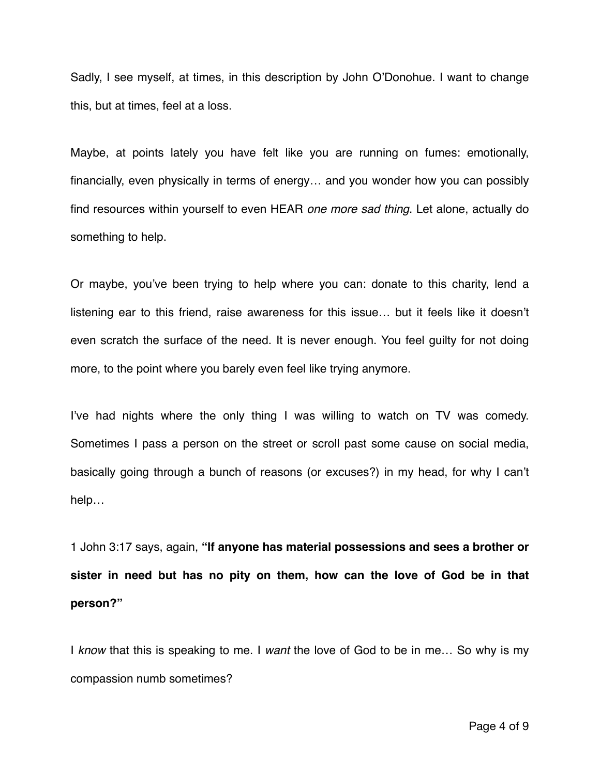Sadly, I see myself, at times, in this description by John O'Donohue. I want to change this, but at times, feel at a loss.

Maybe, at points lately you have felt like you are running on fumes: emotionally, financially, even physically in terms of energy… and you wonder how you can possibly find resources within yourself to even HEAR *one more sad thing*. Let alone, actually do something to help.

Or maybe, you've been trying to help where you can: donate to this charity, lend a listening ear to this friend, raise awareness for this issue… but it feels like it doesn't even scratch the surface of the need. It is never enough. You feel guilty for not doing more, to the point where you barely even feel like trying anymore.

I've had nights where the only thing I was willing to watch on TV was comedy. Sometimes I pass a person on the street or scroll past some cause on social media, basically going through a bunch of reasons (or excuses?) in my head, for why I can't help…

1 John 3:17 says, again, **"If anyone has material possessions and sees a brother or sister in need but has no pity on them, how can the love of God be in that person?"**

I *know* that this is speaking to me. I *want* the love of God to be in me… So why is my compassion numb sometimes?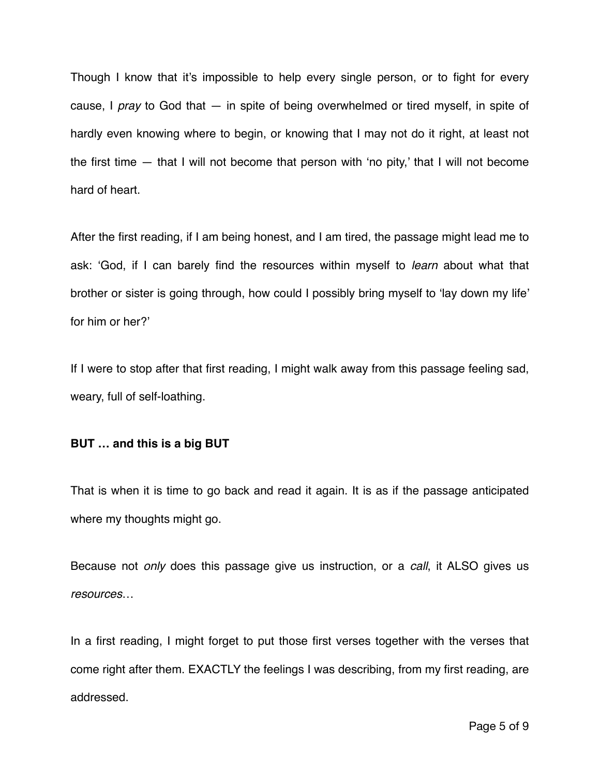Though I know that it's impossible to help every single person, or to fight for every cause, I *pray* to God that — in spite of being overwhelmed or tired myself, in spite of hardly even knowing where to begin, or knowing that I may not do it right, at least not the first time — that I will not become that person with 'no pity,' that I will not become hard of heart.

After the first reading, if I am being honest, and I am tired, the passage might lead me to ask: 'God, if I can barely find the resources within myself to *learn* about what that brother or sister is going through, how could I possibly bring myself to 'lay down my life' for him or her?'

If I were to stop after that first reading, I might walk away from this passage feeling sad, weary, full of self-loathing.

## **BUT … and this is a big BUT**

That is when it is time to go back and read it again. It is as if the passage anticipated where my thoughts might go.

Because not *only* does this passage give us instruction, or a *call*, it ALSO gives us *resources*…

In a first reading, I might forget to put those first verses together with the verses that come right after them. EXACTLY the feelings I was describing, from my first reading, are addressed.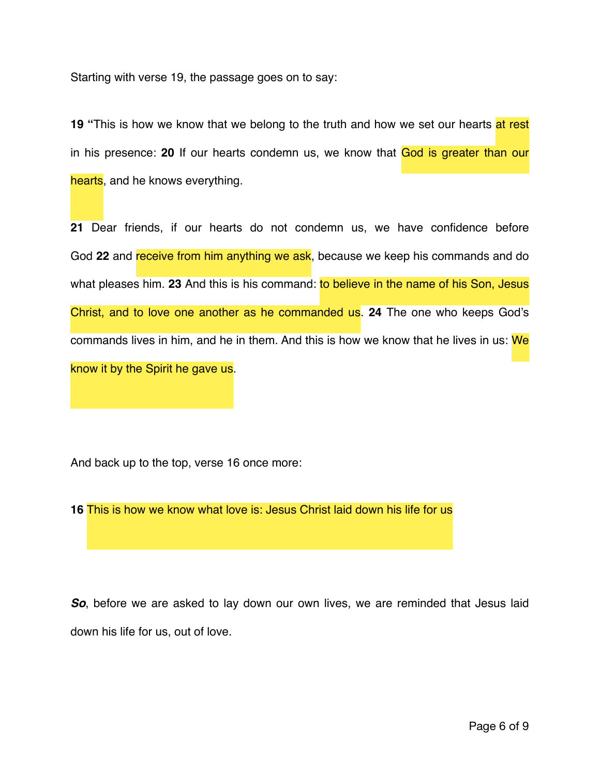Starting with verse 19, the passage goes on to say:

**19 "This is how we know that we belong to the truth and how we set our hearts at rest** in his presence: **20** If our hearts condemn us, we know that God is greater than our hearts, and he knows everything.

**21** Dear friends, if our hearts do not condemn us, we have confidence before God **22** and receive from him anything we ask, because we keep his commands and do what pleases him. **23** And this is his command: to believe in the name of his Son, Jesus Christ, and to love one another as he commanded us. **24** The one who keeps God's commands lives in him, and he in them. And this is how we know that he lives in us: We know it by the Spirit he gave us.

And back up to the top, verse 16 once more:

**16** This is how we know what love is: Jesus Christ laid down his life for us

*So*, before we are asked to lay down our own lives, we are reminded that Jesus laid down his life for us, out of love.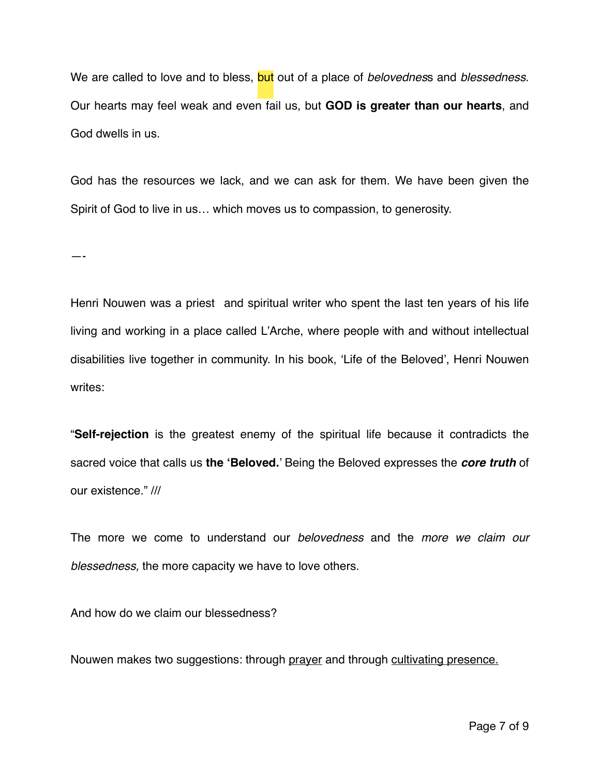We are called to love and to bless, but out of a place of *belovednes*s and *blessedness*. Our hearts may feel weak and even fail us, but **GOD is greater than our hearts**, and God dwells in us.

God has the resources we lack, and we can ask for them. We have been given the Spirit of God to live in us… which moves us to compassion, to generosity.

—-

Henri Nouwen was a priest and spiritual writer who spent the last ten years of his life living and working in a place called L'Arche, where people with and without intellectual disabilities live together in community. In his book, 'Life of the Beloved', Henri Nouwen writes:

"**Self-rejection** is the greatest enemy of the spiritual life because it contradicts the sacred voice that calls us **the 'Beloved.**' Being the Beloved expresses the *core truth* of our existence." ///

The more we come to understand our *belovedness* and the *more we claim our blessedness,* the more capacity we have to love others.

And how do we claim our blessedness?

Nouwen makes two suggestions: through prayer and through cultivating presence.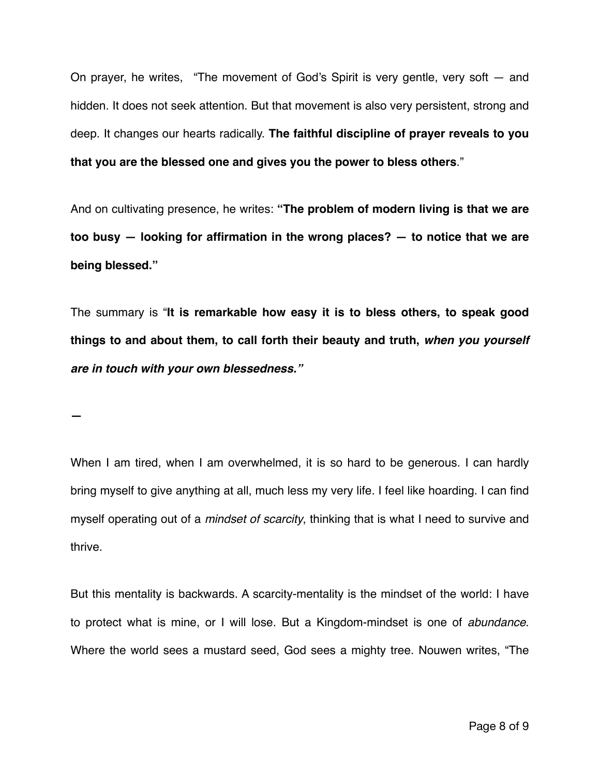On prayer, he writes, "The movement of God's Spirit is very gentle, very soft — and hidden. It does not seek attention. But that movement is also very persistent, strong and deep. It changes our hearts radically. **The faithful discipline of prayer reveals to you that you are the blessed one and gives you the power to bless others**."

And on cultivating presence, he writes: **"The problem of modern living is that we are too busy — looking for affirmation in the wrong places? — to notice that we are being blessed."**

The summary is "**It is remarkable how easy it is to bless others, to speak good things to and about them, to call forth their beauty and truth,** *when you yourself are in touch with your own blessedness."*

**—**

When I am tired, when I am overwhelmed, it is so hard to be generous. I can hardly bring myself to give anything at all, much less my very life. I feel like hoarding. I can find myself operating out of a *mindset of scarcity*, thinking that is what I need to survive and thrive.

But this mentality is backwards. A scarcity-mentality is the mindset of the world: I have to protect what is mine, or I will lose. But a Kingdom-mindset is one of *abundance*. Where the world sees a mustard seed, God sees a mighty tree. Nouwen writes, "The